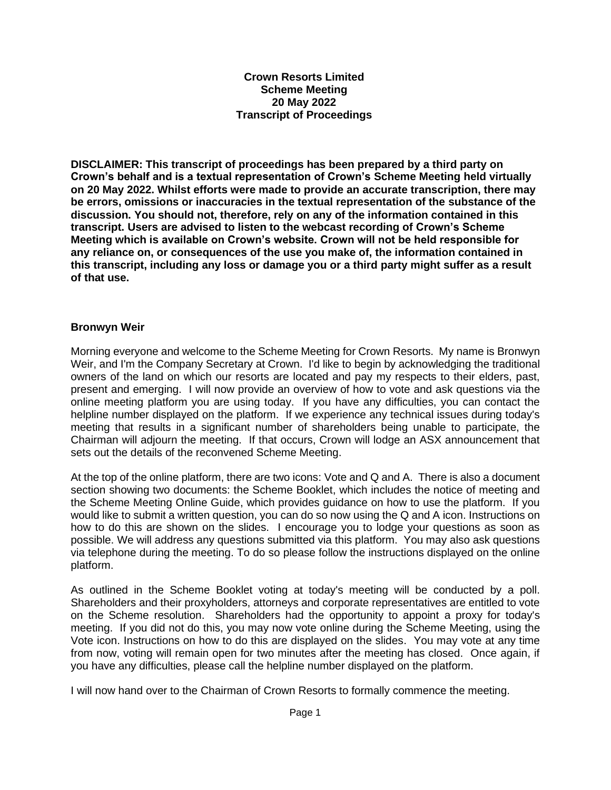**Crown Resorts Limited Scheme Meeting 20 May 2022 Transcript of Proceedings**

**DISCLAIMER: This transcript of proceedings has been prepared by a third party on Crown's behalf and is a textual representation of Crown's Scheme Meeting held virtually on 20 May 2022. Whilst efforts were made to provide an accurate transcription, there may be errors, omissions or inaccuracies in the textual representation of the substance of the discussion. You should not, therefore, rely on any of the information contained in this transcript. Users are advised to listen to the webcast recording of Crown's Scheme Meeting which is available on Crown's website. Crown will not be held responsible for any reliance on, or consequences of the use you make of, the information contained in this transcript, including any loss or damage you or a third party might suffer as a result of that use.**

#### **Bronwyn Weir**

Morning everyone and welcome to the Scheme Meeting for Crown Resorts. My name is Bronwyn Weir, and I'm the Company Secretary at Crown. I'd like to begin by acknowledging the traditional owners of the land on which our resorts are located and pay my respects to their elders, past, present and emerging. I will now provide an overview of how to vote and ask questions via the online meeting platform you are using today. If you have any difficulties, you can contact the helpline number displayed on the platform. If we experience any technical issues during today's meeting that results in a significant number of shareholders being unable to participate, the Chairman will adjourn the meeting. If that occurs, Crown will lodge an ASX announcement that sets out the details of the reconvened Scheme Meeting.

At the top of the online platform, there are two icons: Vote and Q and A. There is also a document section showing two documents: the Scheme Booklet, which includes the notice of meeting and the Scheme Meeting Online Guide, which provides guidance on how to use the platform. If you would like to submit a written question, you can do so now using the Q and A icon. Instructions on how to do this are shown on the slides. I encourage you to lodge your questions as soon as possible. We will address any questions submitted via this platform. You may also ask questions via telephone during the meeting. To do so please follow the instructions displayed on the online platform.

As outlined in the Scheme Booklet voting at today's meeting will be conducted by a poll. Shareholders and their proxyholders, attorneys and corporate representatives are entitled to vote on the Scheme resolution. Shareholders had the opportunity to appoint a proxy for today's meeting. If you did not do this, you may now vote online during the Scheme Meeting, using the Vote icon. Instructions on how to do this are displayed on the slides. You may vote at any time from now, voting will remain open for two minutes after the meeting has closed. Once again, if you have any difficulties, please call the helpline number displayed on the platform.

I will now hand over to the Chairman of Crown Resorts to formally commence the meeting.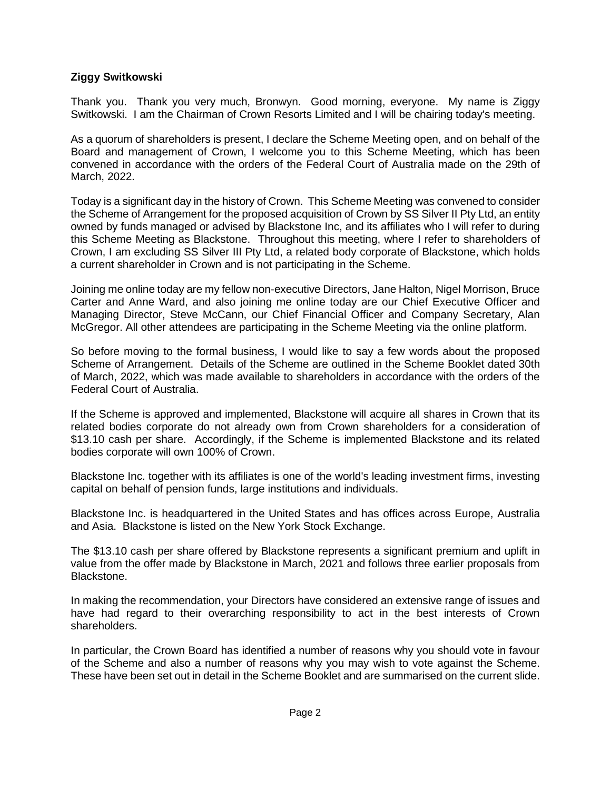### **Ziggy Switkowski**

Thank you. Thank you very much, Bronwyn. Good morning, everyone. My name is Ziggy Switkowski. I am the Chairman of Crown Resorts Limited and I will be chairing today's meeting.

As a quorum of shareholders is present, I declare the Scheme Meeting open, and on behalf of the Board and management of Crown, I welcome you to this Scheme Meeting, which has been convened in accordance with the orders of the Federal Court of Australia made on the 29th of March, 2022.

Today is a significant day in the history of Crown. This Scheme Meeting was convened to consider the Scheme of Arrangement for the proposed acquisition of Crown by SS Silver II Pty Ltd, an entity owned by funds managed or advised by Blackstone Inc, and its affiliates who I will refer to during this Scheme Meeting as Blackstone. Throughout this meeting, where I refer to shareholders of Crown, I am excluding SS Silver III Pty Ltd, a related body corporate of Blackstone, which holds a current shareholder in Crown and is not participating in the Scheme.

Joining me online today are my fellow non-executive Directors, Jane Halton, Nigel Morrison, Bruce Carter and Anne Ward, and also joining me online today are our Chief Executive Officer and Managing Director, Steve McCann, our Chief Financial Officer and Company Secretary, Alan McGregor. All other attendees are participating in the Scheme Meeting via the online platform.

So before moving to the formal business, I would like to say a few words about the proposed Scheme of Arrangement. Details of the Scheme are outlined in the Scheme Booklet dated 30th of March, 2022, which was made available to shareholders in accordance with the orders of the Federal Court of Australia.

If the Scheme is approved and implemented, Blackstone will acquire all shares in Crown that its related bodies corporate do not already own from Crown shareholders for a consideration of \$13.10 cash per share. Accordingly, if the Scheme is implemented Blackstone and its related bodies corporate will own 100% of Crown.

Blackstone Inc. together with its affiliates is one of the world's leading investment firms, investing capital on behalf of pension funds, large institutions and individuals.

Blackstone Inc. is headquartered in the United States and has offices across Europe, Australia and Asia. Blackstone is listed on the New York Stock Exchange.

The \$13.10 cash per share offered by Blackstone represents a significant premium and uplift in value from the offer made by Blackstone in March, 2021 and follows three earlier proposals from Blackstone.

In making the recommendation, your Directors have considered an extensive range of issues and have had regard to their overarching responsibility to act in the best interests of Crown shareholders.

In particular, the Crown Board has identified a number of reasons why you should vote in favour of the Scheme and also a number of reasons why you may wish to vote against the Scheme. These have been set out in detail in the Scheme Booklet and are summarised on the current slide.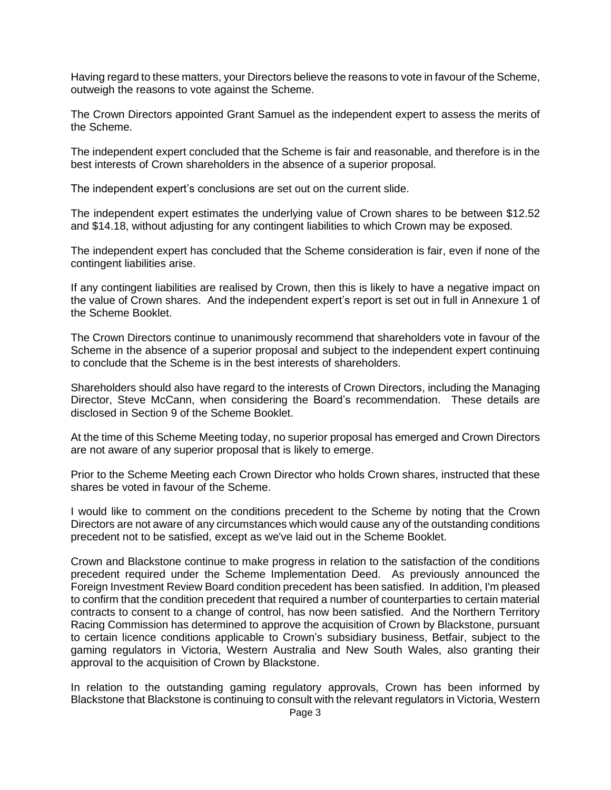Having regard to these matters, your Directors believe the reasons to vote in favour of the Scheme, outweigh the reasons to vote against the Scheme.

The Crown Directors appointed Grant Samuel as the independent expert to assess the merits of the Scheme.

The independent expert concluded that the Scheme is fair and reasonable, and therefore is in the best interests of Crown shareholders in the absence of a superior proposal.

The independent expert's conclusions are set out on the current slide.

The independent expert estimates the underlying value of Crown shares to be between \$12.52 and \$14.18, without adjusting for any contingent liabilities to which Crown may be exposed.

The independent expert has concluded that the Scheme consideration is fair, even if none of the contingent liabilities arise.

If any contingent liabilities are realised by Crown, then this is likely to have a negative impact on the value of Crown shares. And the independent expert's report is set out in full in Annexure 1 of the Scheme Booklet.

The Crown Directors continue to unanimously recommend that shareholders vote in favour of the Scheme in the absence of a superior proposal and subject to the independent expert continuing to conclude that the Scheme is in the best interests of shareholders.

Shareholders should also have regard to the interests of Crown Directors, including the Managing Director, Steve McCann, when considering the Board's recommendation. These details are disclosed in Section 9 of the Scheme Booklet.

At the time of this Scheme Meeting today, no superior proposal has emerged and Crown Directors are not aware of any superior proposal that is likely to emerge.

Prior to the Scheme Meeting each Crown Director who holds Crown shares, instructed that these shares be voted in favour of the Scheme.

I would like to comment on the conditions precedent to the Scheme by noting that the Crown Directors are not aware of any circumstances which would cause any of the outstanding conditions precedent not to be satisfied, except as we've laid out in the Scheme Booklet.

Crown and Blackstone continue to make progress in relation to the satisfaction of the conditions precedent required under the Scheme Implementation Deed. As previously announced the Foreign Investment Review Board condition precedent has been satisfied. In addition, I'm pleased to confirm that the condition precedent that required a number of counterparties to certain material contracts to consent to a change of control, has now been satisfied. And the Northern Territory Racing Commission has determined to approve the acquisition of Crown by Blackstone, pursuant to certain licence conditions applicable to Crown's subsidiary business, Betfair, subject to the gaming regulators in Victoria, Western Australia and New South Wales, also granting their approval to the acquisition of Crown by Blackstone.

In relation to the outstanding gaming regulatory approvals, Crown has been informed by Blackstone that Blackstone is continuing to consult with the relevant regulators in Victoria, Western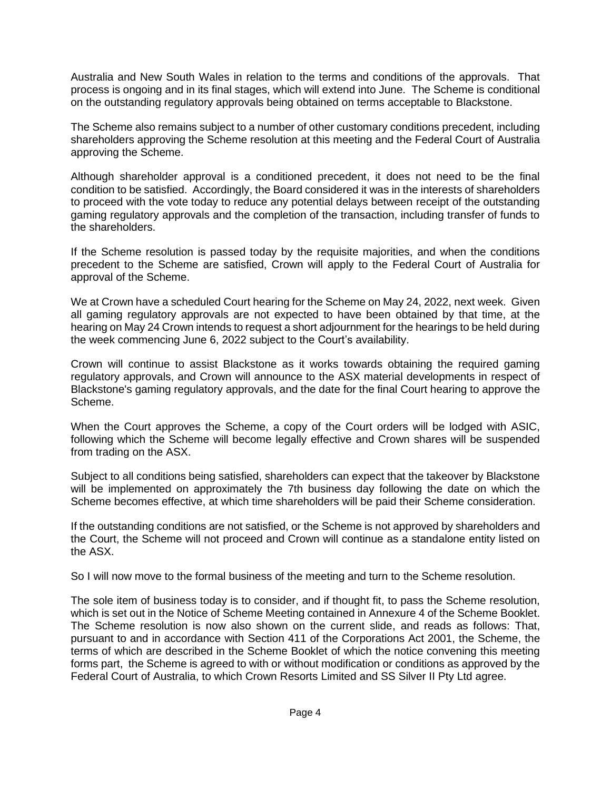Australia and New South Wales in relation to the terms and conditions of the approvals. That process is ongoing and in its final stages, which will extend into June. The Scheme is conditional on the outstanding regulatory approvals being obtained on terms acceptable to Blackstone.

The Scheme also remains subject to a number of other customary conditions precedent, including shareholders approving the Scheme resolution at this meeting and the Federal Court of Australia approving the Scheme.

Although shareholder approval is a conditioned precedent, it does not need to be the final condition to be satisfied. Accordingly, the Board considered it was in the interests of shareholders to proceed with the vote today to reduce any potential delays between receipt of the outstanding gaming regulatory approvals and the completion of the transaction, including transfer of funds to the shareholders.

If the Scheme resolution is passed today by the requisite majorities, and when the conditions precedent to the Scheme are satisfied, Crown will apply to the Federal Court of Australia for approval of the Scheme.

We at Crown have a scheduled Court hearing for the Scheme on May 24, 2022, next week. Given all gaming regulatory approvals are not expected to have been obtained by that time, at the hearing on May 24 Crown intends to request a short adjournment for the hearings to be held during the week commencing June 6, 2022 subject to the Court's availability.

Crown will continue to assist Blackstone as it works towards obtaining the required gaming regulatory approvals, and Crown will announce to the ASX material developments in respect of Blackstone's gaming regulatory approvals, and the date for the final Court hearing to approve the Scheme.

When the Court approves the Scheme, a copy of the Court orders will be lodged with ASIC, following which the Scheme will become legally effective and Crown shares will be suspended from trading on the ASX.

Subject to all conditions being satisfied, shareholders can expect that the takeover by Blackstone will be implemented on approximately the 7th business day following the date on which the Scheme becomes effective, at which time shareholders will be paid their Scheme consideration.

If the outstanding conditions are not satisfied, or the Scheme is not approved by shareholders and the Court, the Scheme will not proceed and Crown will continue as a standalone entity listed on the ASX.

So I will now move to the formal business of the meeting and turn to the Scheme resolution.

The sole item of business today is to consider, and if thought fit, to pass the Scheme resolution, which is set out in the Notice of Scheme Meeting contained in Annexure 4 of the Scheme Booklet. The Scheme resolution is now also shown on the current slide, and reads as follows: That, pursuant to and in accordance with Section 411 of the Corporations Act 2001, the Scheme, the terms of which are described in the Scheme Booklet of which the notice convening this meeting forms part, the Scheme is agreed to with or without modification or conditions as approved by the Federal Court of Australia, to which Crown Resorts Limited and SS Silver II Pty Ltd agree.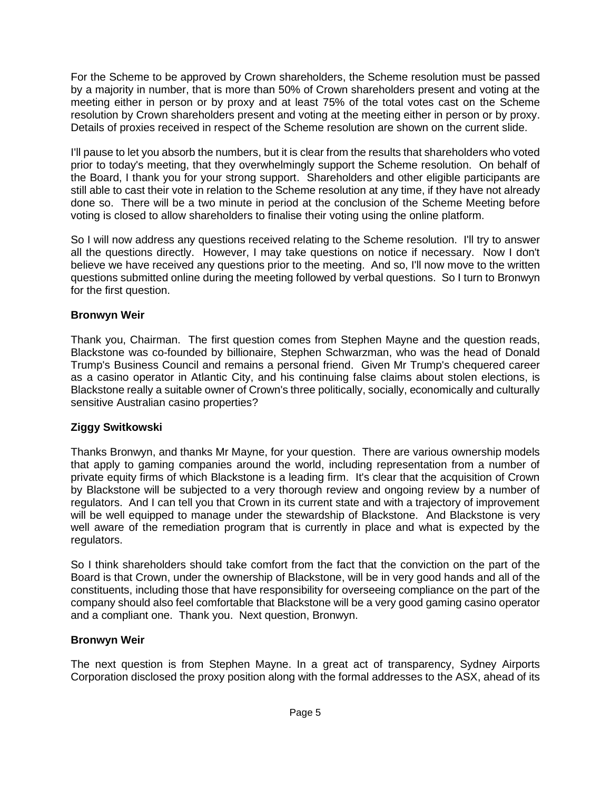For the Scheme to be approved by Crown shareholders, the Scheme resolution must be passed by a majority in number, that is more than 50% of Crown shareholders present and voting at the meeting either in person or by proxy and at least 75% of the total votes cast on the Scheme resolution by Crown shareholders present and voting at the meeting either in person or by proxy. Details of proxies received in respect of the Scheme resolution are shown on the current slide.

I'll pause to let you absorb the numbers, but it is clear from the results that shareholders who voted prior to today's meeting, that they overwhelmingly support the Scheme resolution. On behalf of the Board, I thank you for your strong support. Shareholders and other eligible participants are still able to cast their vote in relation to the Scheme resolution at any time, if they have not already done so. There will be a two minute in period at the conclusion of the Scheme Meeting before voting is closed to allow shareholders to finalise their voting using the online platform.

So I will now address any questions received relating to the Scheme resolution. I'll try to answer all the questions directly. However, I may take questions on notice if necessary. Now I don't believe we have received any questions prior to the meeting. And so, I'll now move to the written questions submitted online during the meeting followed by verbal questions. So I turn to Bronwyn for the first question.

# **Bronwyn Weir**

Thank you, Chairman. The first question comes from Stephen Mayne and the question reads, Blackstone was co-founded by billionaire, Stephen Schwarzman, who was the head of Donald Trump's Business Council and remains a personal friend. Given Mr Trump's chequered career as a casino operator in Atlantic City, and his continuing false claims about stolen elections, is Blackstone really a suitable owner of Crown's three politically, socially, economically and culturally sensitive Australian casino properties?

# **Ziggy Switkowski**

Thanks Bronwyn, and thanks Mr Mayne, for your question. There are various ownership models that apply to gaming companies around the world, including representation from a number of private equity firms of which Blackstone is a leading firm. It's clear that the acquisition of Crown by Blackstone will be subjected to a very thorough review and ongoing review by a number of regulators. And I can tell you that Crown in its current state and with a trajectory of improvement will be well equipped to manage under the stewardship of Blackstone. And Blackstone is very well aware of the remediation program that is currently in place and what is expected by the regulators.

So I think shareholders should take comfort from the fact that the conviction on the part of the Board is that Crown, under the ownership of Blackstone, will be in very good hands and all of the constituents, including those that have responsibility for overseeing compliance on the part of the company should also feel comfortable that Blackstone will be a very good gaming casino operator and a compliant one. Thank you. Next question, Bronwyn.

# **Bronwyn Weir**

The next question is from Stephen Mayne. In a great act of transparency, Sydney Airports Corporation disclosed the proxy position along with the formal addresses to the ASX, ahead of its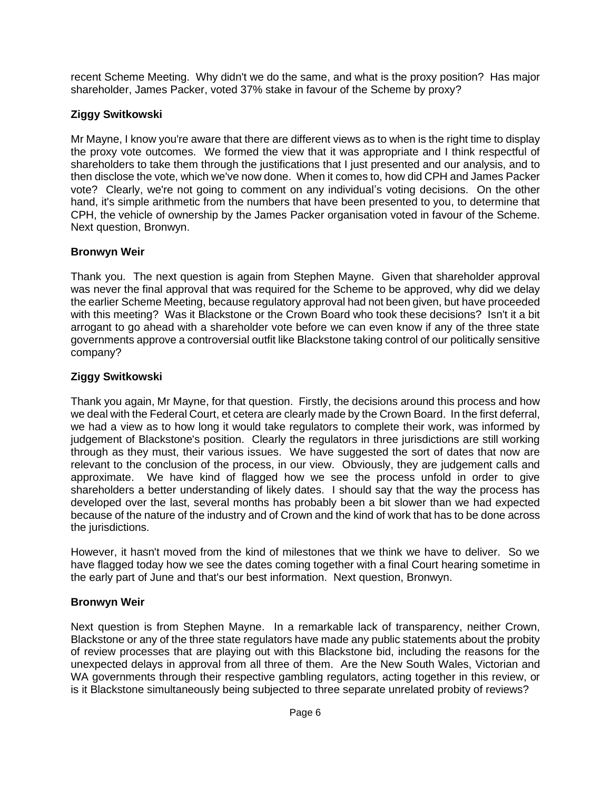recent Scheme Meeting. Why didn't we do the same, and what is the proxy position? Has major shareholder, James Packer, voted 37% stake in favour of the Scheme by proxy?

# **Ziggy Switkowski**

Mr Mayne, I know you're aware that there are different views as to when is the right time to display the proxy vote outcomes. We formed the view that it was appropriate and I think respectful of shareholders to take them through the justifications that I just presented and our analysis, and to then disclose the vote, which we've now done. When it comes to, how did CPH and James Packer vote? Clearly, we're not going to comment on any individual's voting decisions. On the other hand, it's simple arithmetic from the numbers that have been presented to you, to determine that CPH, the vehicle of ownership by the James Packer organisation voted in favour of the Scheme. Next question, Bronwyn.

### **Bronwyn Weir**

Thank you. The next question is again from Stephen Mayne. Given that shareholder approval was never the final approval that was required for the Scheme to be approved, why did we delay the earlier Scheme Meeting, because regulatory approval had not been given, but have proceeded with this meeting? Was it Blackstone or the Crown Board who took these decisions? Isn't it a bit arrogant to go ahead with a shareholder vote before we can even know if any of the three state governments approve a controversial outfit like Blackstone taking control of our politically sensitive company?

### **Ziggy Switkowski**

Thank you again, Mr Mayne, for that question. Firstly, the decisions around this process and how we deal with the Federal Court, et cetera are clearly made by the Crown Board. In the first deferral, we had a view as to how long it would take regulators to complete their work, was informed by judgement of Blackstone's position. Clearly the regulators in three jurisdictions are still working through as they must, their various issues. We have suggested the sort of dates that now are relevant to the conclusion of the process, in our view. Obviously, they are judgement calls and approximate. We have kind of flagged how we see the process unfold in order to give shareholders a better understanding of likely dates. I should say that the way the process has developed over the last, several months has probably been a bit slower than we had expected because of the nature of the industry and of Crown and the kind of work that has to be done across the jurisdictions.

However, it hasn't moved from the kind of milestones that we think we have to deliver. So we have flagged today how we see the dates coming together with a final Court hearing sometime in the early part of June and that's our best information. Next question, Bronwyn.

#### **Bronwyn Weir**

Next question is from Stephen Mayne. In a remarkable lack of transparency, neither Crown, Blackstone or any of the three state regulators have made any public statements about the probity of review processes that are playing out with this Blackstone bid, including the reasons for the unexpected delays in approval from all three of them. Are the New South Wales, Victorian and WA governments through their respective gambling regulators, acting together in this review, or is it Blackstone simultaneously being subjected to three separate unrelated probity of reviews?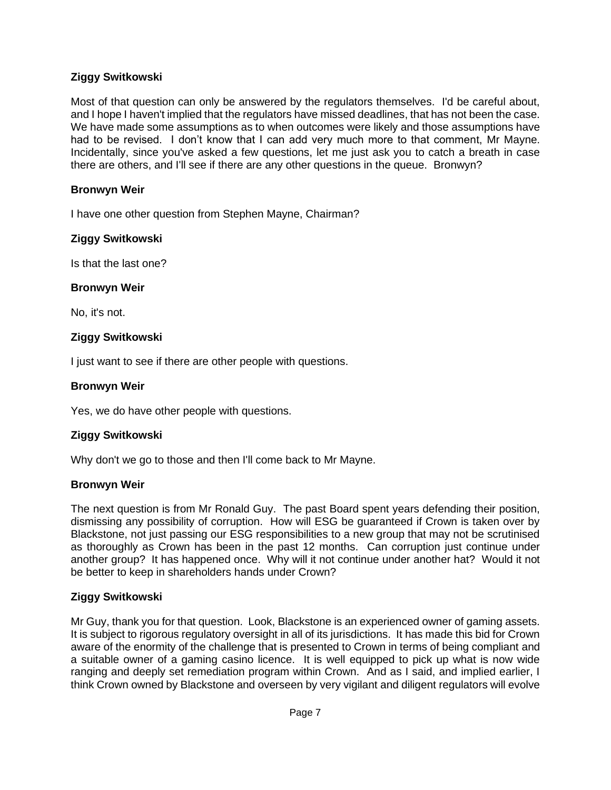# **Ziggy Switkowski**

Most of that question can only be answered by the regulators themselves. I'd be careful about, and I hope I haven't implied that the regulators have missed deadlines, that has not been the case. We have made some assumptions as to when outcomes were likely and those assumptions have had to be revised. I don't know that I can add very much more to that comment, Mr Mayne. Incidentally, since you've asked a few questions, let me just ask you to catch a breath in case there are others, and I'll see if there are any other questions in the queue. Bronwyn?

# **Bronwyn Weir**

I have one other question from Stephen Mayne, Chairman?

### **Ziggy Switkowski**

Is that the last one?

#### **Bronwyn Weir**

No, it's not.

### **Ziggy Switkowski**

I just want to see if there are other people with questions.

### **Bronwyn Weir**

Yes, we do have other people with questions.

# **Ziggy Switkowski**

Why don't we go to those and then I'll come back to Mr Mayne.

#### **Bronwyn Weir**

The next question is from Mr Ronald Guy. The past Board spent years defending their position, dismissing any possibility of corruption. How will ESG be guaranteed if Crown is taken over by Blackstone, not just passing our ESG responsibilities to a new group that may not be scrutinised as thoroughly as Crown has been in the past 12 months. Can corruption just continue under another group? It has happened once. Why will it not continue under another hat? Would it not be better to keep in shareholders hands under Crown?

# **Ziggy Switkowski**

Mr Guy, thank you for that question. Look, Blackstone is an experienced owner of gaming assets. It is subject to rigorous regulatory oversight in all of its jurisdictions. It has made this bid for Crown aware of the enormity of the challenge that is presented to Crown in terms of being compliant and a suitable owner of a gaming casino licence. It is well equipped to pick up what is now wide ranging and deeply set remediation program within Crown. And as I said, and implied earlier, I think Crown owned by Blackstone and overseen by very vigilant and diligent regulators will evolve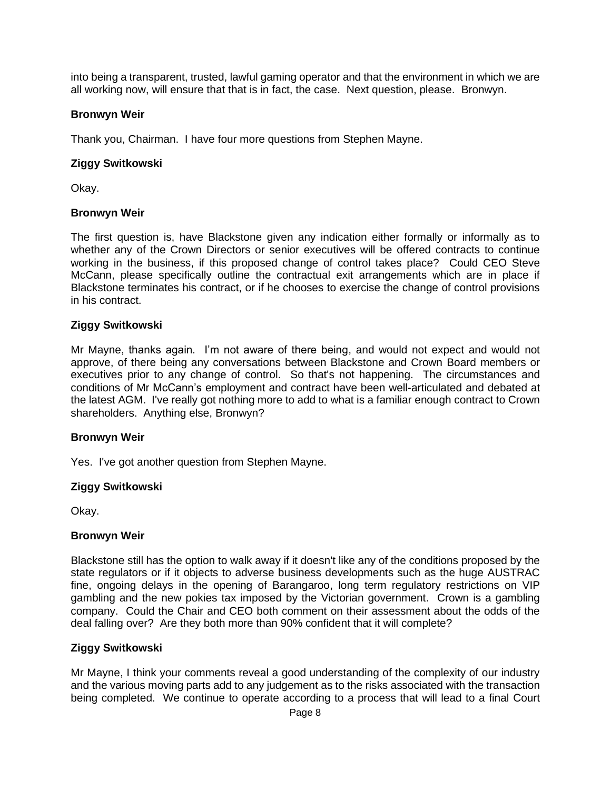into being a transparent, trusted, lawful gaming operator and that the environment in which we are all working now, will ensure that that is in fact, the case. Next question, please. Bronwyn.

### **Bronwyn Weir**

Thank you, Chairman. I have four more questions from Stephen Mayne.

### **Ziggy Switkowski**

Okay.

#### **Bronwyn Weir**

The first question is, have Blackstone given any indication either formally or informally as to whether any of the Crown Directors or senior executives will be offered contracts to continue working in the business, if this proposed change of control takes place? Could CEO Steve McCann, please specifically outline the contractual exit arrangements which are in place if Blackstone terminates his contract, or if he chooses to exercise the change of control provisions in his contract.

### **Ziggy Switkowski**

Mr Mayne, thanks again. I'm not aware of there being, and would not expect and would not approve, of there being any conversations between Blackstone and Crown Board members or executives prior to any change of control. So that's not happening. The circumstances and conditions of Mr McCann's employment and contract have been well-articulated and debated at the latest AGM. I've really got nothing more to add to what is a familiar enough contract to Crown shareholders. Anything else, Bronwyn?

#### **Bronwyn Weir**

Yes. I've got another question from Stephen Mayne.

#### **Ziggy Switkowski**

Okay.

#### **Bronwyn Weir**

Blackstone still has the option to walk away if it doesn't like any of the conditions proposed by the state regulators or if it objects to adverse business developments such as the huge AUSTRAC fine, ongoing delays in the opening of Barangaroo, long term regulatory restrictions on VIP gambling and the new pokies tax imposed by the Victorian government. Crown is a gambling company. Could the Chair and CEO both comment on their assessment about the odds of the deal falling over? Are they both more than 90% confident that it will complete?

#### **Ziggy Switkowski**

Mr Mayne, I think your comments reveal a good understanding of the complexity of our industry and the various moving parts add to any judgement as to the risks associated with the transaction being completed. We continue to operate according to a process that will lead to a final Court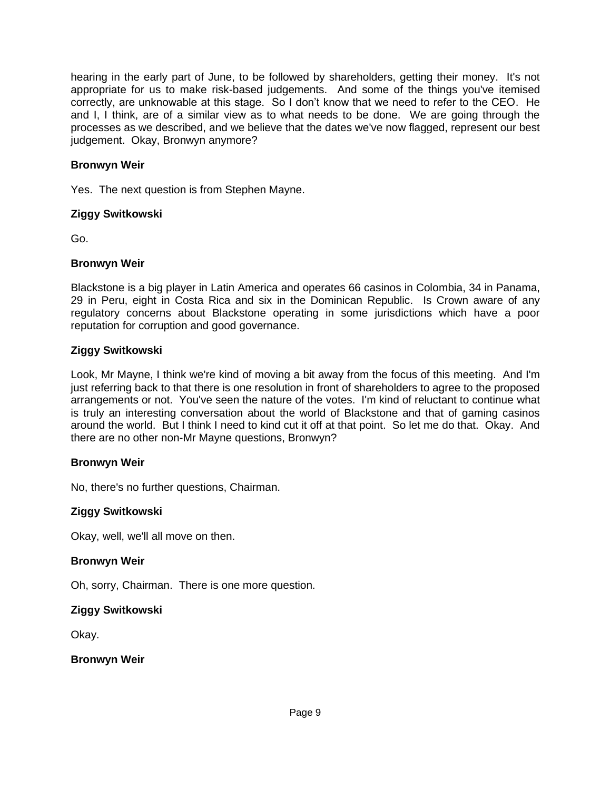hearing in the early part of June, to be followed by shareholders, getting their money. It's not appropriate for us to make risk-based judgements. And some of the things you've itemised correctly, are unknowable at this stage. So I don't know that we need to refer to the CEO. He and I, I think, are of a similar view as to what needs to be done. We are going through the processes as we described, and we believe that the dates we've now flagged, represent our best judgement. Okay, Bronwyn anymore?

# **Bronwyn Weir**

Yes. The next question is from Stephen Mayne.

#### **Ziggy Switkowski**

Go.

#### **Bronwyn Weir**

Blackstone is a big player in Latin America and operates 66 casinos in Colombia, 34 in Panama, 29 in Peru, eight in Costa Rica and six in the Dominican Republic. Is Crown aware of any regulatory concerns about Blackstone operating in some jurisdictions which have a poor reputation for corruption and good governance.

#### **Ziggy Switkowski**

Look, Mr Mayne, I think we're kind of moving a bit away from the focus of this meeting. And I'm just referring back to that there is one resolution in front of shareholders to agree to the proposed arrangements or not. You've seen the nature of the votes. I'm kind of reluctant to continue what is truly an interesting conversation about the world of Blackstone and that of gaming casinos around the world. But I think I need to kind cut it off at that point. So let me do that. Okay. And there are no other non-Mr Mayne questions, Bronwyn?

#### **Bronwyn Weir**

No, there's no further questions, Chairman.

#### **Ziggy Switkowski**

Okay, well, we'll all move on then.

#### **Bronwyn Weir**

Oh, sorry, Chairman. There is one more question.

#### **Ziggy Switkowski**

Okay.

#### **Bronwyn Weir**